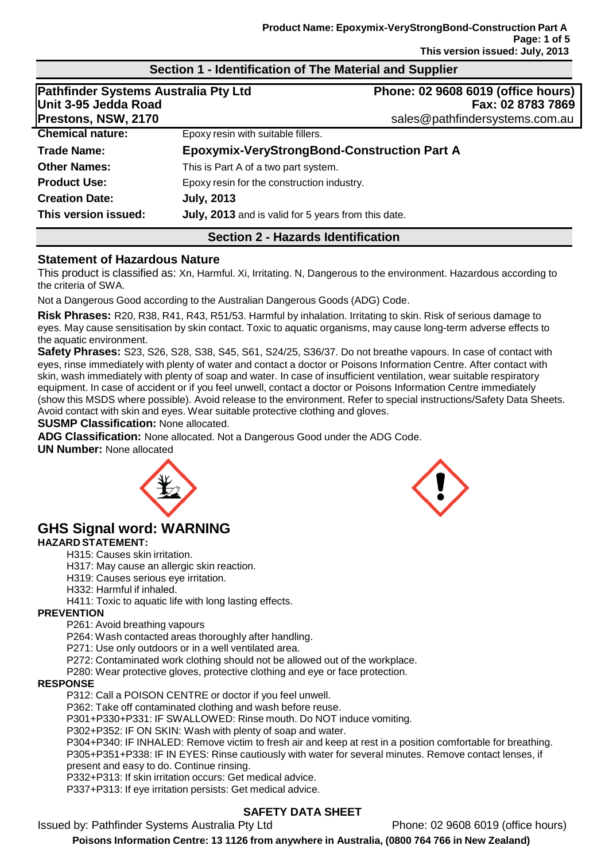| <b>Pathfinder Systems Australia Pty Ltd</b><br>Unit 3-95 Jedda Road<br>Prestons, NSW, 2170 |                                                     | Phone: 02 9608 6019 (office hours)<br>Fax: 02 8783 7869<br>sales@pathfindersystems.com.au |
|--------------------------------------------------------------------------------------------|-----------------------------------------------------|-------------------------------------------------------------------------------------------|
| <b>Chemical nature:</b>                                                                    | Epoxy resin with suitable fillers.                  |                                                                                           |
| Trade Name:                                                                                | <b>Epoxymix-VeryStrongBond-Construction Part A</b>  |                                                                                           |
| <b>Other Names:</b>                                                                        | This is Part A of a two part system.                |                                                                                           |
| <b>Product Use:</b>                                                                        | Epoxy resin for the construction industry.          |                                                                                           |
| <b>Creation Date:</b>                                                                      | <b>July, 2013</b>                                   |                                                                                           |
| This version issued:                                                                       | July, 2013 and is valid for 5 years from this date. |                                                                                           |
|                                                                                            | <b>Section 2 - Hazards Identification</b>           |                                                                                           |

**Section 1 - Identification of The Material and Supplier**

#### **Statement of Hazardous Nature**

This product is classified as: Xn, Harmful. Xi, Irritating. N, Dangerous to the environment. Hazardous according to the criteria of SWA.

Not a Dangerous Good according to the Australian Dangerous Goods (ADG) Code.

**Risk Phrases:** R20, R38, R41, R43, R51/53. Harmful by inhalation. Irritating to skin. Risk of serious damage to eyes. May cause sensitisation by skin contact. Toxic to aquatic organisms, may cause long-term adverse effects to the aquatic environment.

**Safety Phrases:** S23, S26, S28, S38, S45, S61, S24/25, S36/37. Do not breathe vapours. In case of contact with eyes, rinse immediately with plenty of water and contact a doctor or Poisons Information Centre. After contact with skin, wash immediately with plenty of soap and water. In case of insufficient ventilation, wear suitable respiratory equipment. In case of accident or if you feel unwell, contact a doctor or Poisons Information Centre immediately (show this MSDS where possible). Avoid release to the environment. Refer to special instructions/Safety Data Sheets. Avoid contact with skin and eyes. Wear suitable protective clothing and gloves.

**SUSMP Classification:** None allocated.

**ADG Classification:** None allocated. Not a Dangerous Good under the ADG Code.

**UN Number:** None allocated



# **GHS Signal word: WARNING**

# **HAZARD STATEMENT:**

- H315: Causes skin irritation.
- H317: May cause an allergic skin reaction.
- H319: Causes serious eye irritation.
- H332: Harmful if inhaled.
- H411: Toxic to aquatic life with long lasting effects.

## **PREVENTION**

P261: Avoid breathing vapours

P264: Wash contacted areas thoroughly after handling.

P271: Use only outdoors or in a well ventilated area.

P272: Contaminated work clothing should not be allowed out of the workplace.

P280: Wear protective gloves, protective clothing and eye or face protection.

## **RESPONSE**

P312: Call a POISON CENTRE or doctor if you feel unwell.

P362: Take off contaminated clothing and wash before reuse.

P301+P330+P331: IF SWALLOWED: Rinse mouth. Do NOT induce vomiting.

P302+P352: IF ON SKIN: Wash with plenty of soap and water.

P304+P340: IF INHALED: Remove victim to fresh air and keep at rest in a position comfortable for breathing. P305+P351+P338: IF IN EYES: Rinse cautiously with water for several minutes. Remove contact lenses, if present and easy to do. Continue rinsing.

P332+P313: If skin irritation occurs: Get medical advice.

P337+P313: If eye irritation persists: Get medical advice.

# **SAFETY DATA SHEET**

Issued by: Pathfinder Systems Australia Pty Ltd Phone: 02 9608 6019 (office hours)



**Poisons Information Centre: 13 1126 from anywhere in Australia, (0800 764 766 in New Zealand)**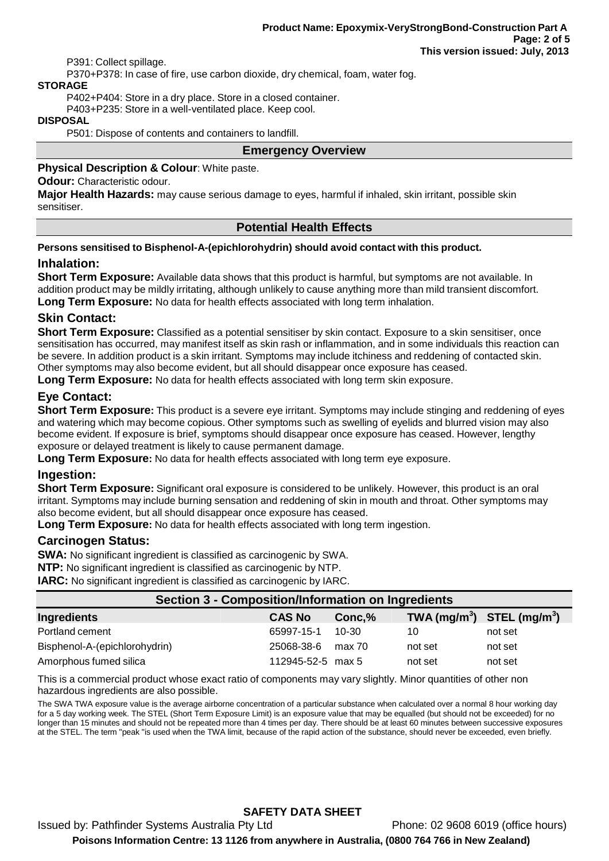P391: Collect spillage.

P370+P378: In case of fire, use carbon dioxide, dry chemical, foam, water fog.

#### **STORAGE**

P402+P404: Store in a dry place. Store in a closed container.

P403+P235: Store in a well-ventilated place. Keep cool.

#### **DISPOSAL**

P501: Dispose of contents and containers to landfill.

#### **Emergency Overview**

#### **Physical Description & Colour**: White paste.

#### **Odour:** Characteristic odour.

**Major Health Hazards:** may cause serious damage to eyes, harmful if inhaled, skin irritant, possible skin sensitiser.

#### **Potential Health Effects**

#### **Persons sensitised to Bisphenol-A-(epichlorohydrin) should avoid contact with this product.**

#### **Inhalation:**

**Short Term Exposure:** Available data shows that this product is harmful, but symptoms are not available. In addition product may be mildly irritating, although unlikely to cause anything more than mild transient discomfort. **Long Term Exposure:** No data for health effects associated with long term inhalation.

## **Skin Contact:**

**Short Term Exposure:** Classified as a potential sensitiser by skin contact. Exposure to a skin sensitiser, once sensitisation has occurred, may manifest itself as skin rash or inflammation, and in some individuals this reaction can be severe. In addition product is a skin irritant. Symptoms may include itchiness and reddening of contacted skin. Other symptoms may also become evident, but all should disappear once exposure has ceased.

**Long Term Exposure:** No data for health effects associated with long term skin exposure.

## **Eye Contact:**

**Short Term Exposure:** This product is a severe eye irritant. Symptoms may include stinging and reddening of eyes and watering which may become copious. Other symptoms such as swelling of eyelids and blurred vision may also become evident. If exposure is brief, symptoms should disappear once exposure has ceased. However, lengthy exposure or delayed treatment is likely to cause permanent damage.

**Long Term Exposure:** No data for health effects associated with long term eye exposure.

#### **Ingestion:**

**Short Term Exposure:** Significant oral exposure is considered to be unlikely. However, this product is an oral irritant. Symptoms may include burning sensation and reddening of skin in mouth and throat. Other symptoms may also become evident, but all should disappear once exposure has ceased.

**Long Term Exposure:** No data for health effects associated with long term ingestion.

#### **Carcinogen Status:**

**SWA:** No significant ingredient is classified as carcinogenic by SWA.

**NTP:** No significant ingredient is classified as carcinogenic by NTP.

**IARC:** No significant ingredient is classified as carcinogenic by IARC.

| <b>Section 3 - Composition/Information on Ingredients</b> |                   |        |                                                    |         |  |
|-----------------------------------------------------------|-------------------|--------|----------------------------------------------------|---------|--|
| Ingredients                                               | <b>CAS No</b>     | Conc.% | TWA (mg/m <sup>3</sup> ) STEL (mg/m <sup>3</sup> ) |         |  |
| Portland cement                                           | 65997-15-1        | 10-30  | 10                                                 | not set |  |
| Bisphenol-A-(epichlorohydrin)                             | 25068-38-6        | max 70 | not set                                            | not set |  |
| Amorphous fumed silica                                    | 112945-52-5 max 5 |        | not set                                            | not set |  |

This is a commercial product whose exact ratio of components may vary slightly. Minor quantities of other non hazardous ingredients are also possible.

The SWA TWA exposure value is the average airborne concentration of a particular substance when calculated over a normal 8 hour working day for a 5 day working week. The STEL (Short Term Exposure Limit) is an exposure value that may be equalled (but should not be exceeded) for no longer than 15 minutes and should not be repeated more than 4 times per day. There should be at least 60 minutes between successive exposures at the STEL. The term "peak "is used when the TWA limit, because of the rapid action of the substance, should never be exceeded, even briefly.

## **SAFETY DATA SHEET**

Issued by: Pathfinder Systems Australia Pty Ltd Phone: 02 9608 6019 (office hours) **Poisons Information Centre: 13 1126 from anywhere in Australia, (0800 764 766 in New Zealand)**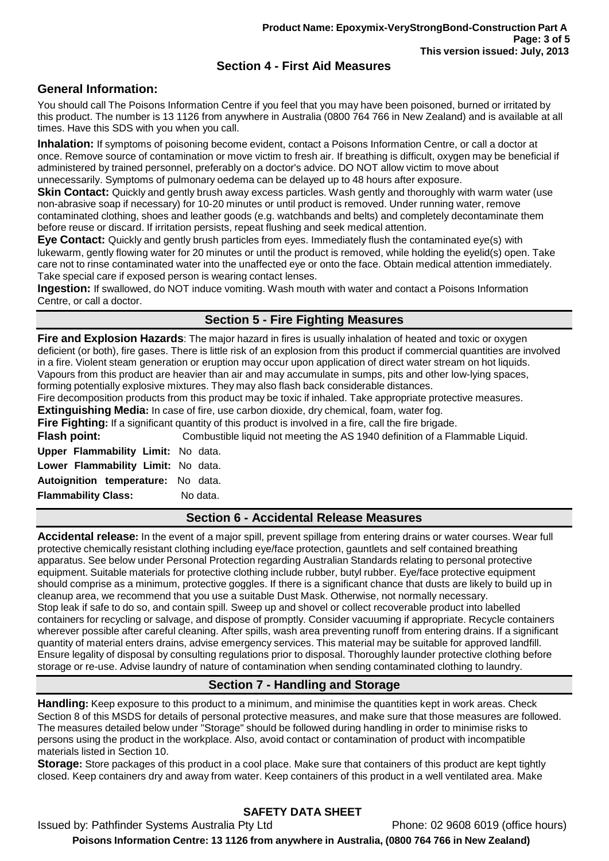## **Section 4 - First Aid Measures**

## **General Information:**

You should call The Poisons Information Centre if you feel that you may have been poisoned, burned or irritated by this product. The number is 13 1126 from anywhere in Australia (0800 764 766 in New Zealand) and is available at all times. Have this SDS with you when you call.

**Inhalation:** If symptoms of poisoning become evident, contact a Poisons Information Centre, or call a doctor at once. Remove source of contamination or move victim to fresh air. If breathing is difficult, oxygen may be beneficial if administered by trained personnel, preferably on a doctor's advice. DO NOT allow victim to move about unnecessarily. Symptoms of pulmonary oedema can be delayed up to 48 hours after exposure.

**Skin Contact:** Quickly and gently brush away excess particles. Wash gently and thoroughly with warm water (use non-abrasive soap if necessary) for 10-20 minutes or until product is removed. Under running water, remove contaminated clothing, shoes and leather goods (e.g. watchbands and belts) and completely decontaminate them before reuse or discard. If irritation persists, repeat flushing and seek medical attention.

**Eye Contact:** Quickly and gently brush particles from eyes. Immediately flush the contaminated eye(s) with lukewarm, gently flowing water for 20 minutes or until the product is removed, while holding the eyelid(s) open. Take care not to rinse contaminated water into the unaffected eye or onto the face. Obtain medical attention immediately. Take special care if exposed person is wearing contact lenses.

**Ingestion:** If swallowed, do NOT induce vomiting. Wash mouth with water and contact a Poisons Information Centre, or call a doctor.

## **Section 5 - Fire Fighting Measures**

**Fire and Explosion Hazards**: The major hazard in fires is usually inhalation of heated and toxic or oxygen deficient (or both), fire gases. There is little risk of an explosion from this product if commercial quantities are involved in a fire. Violent steam generation or eruption may occur upon application of direct water stream on hot liquids. Vapours from this product are heavier than air and may accumulate in sumps, pits and other low-lying spaces, forming potentially explosive mixtures. They may also flash back considerable distances.

Fire decomposition products from this product may be toxic if inhaled. Take appropriate protective measures. **Extinguishing Media:** In case of fire, use carbon dioxide, dry chemical, foam, water fog.

**Fire Fighting:** If a significant quantity of this product is involved in a fire, call the fire brigade.

**Flash point:** Combustible liquid not meeting the AS 1940 definition of a Flammable Liquid.

**Upper Flammability Limit:** No data. **Lower Flammability Limit:** No data. **Autoignition temperature:** No data. **Flammability Class:** No data.

#### **Section 6 - Accidental Release Measures**

**Accidental release:** In the event of a major spill, prevent spillage from entering drains or water courses. Wear full protective chemically resistant clothing including eye/face protection, gauntlets and self contained breathing apparatus. See below under Personal Protection regarding Australian Standards relating to personal protective equipment. Suitable materials for protective clothing include rubber, butyl rubber. Eye/face protective equipment should comprise as a minimum, protective goggles. If there is a significant chance that dusts are likely to build up in cleanup area, we recommend that you use a suitable Dust Mask. Otherwise, not normally necessary. Stop leak if safe to do so, and contain spill. Sweep up and shovel or collect recoverable product into labelled containers for recycling or salvage, and dispose of promptly. Consider vacuuming if appropriate. Recycle containers wherever possible after careful cleaning. After spills, wash area preventing runoff from entering drains. If a significant quantity of material enters drains, advise emergency services. This material may be suitable for approved landfill. Ensure legality of disposal by consulting regulations prior to disposal. Thoroughly launder protective clothing before storage or re-use. Advise laundry of nature of contamination when sending contaminated clothing to laundry.

## **Section 7 - Handling and Storage**

**Handling:** Keep exposure to this product to a minimum, and minimise the quantities kept in work areas. Check Section 8 of this MSDS for details of personal protective measures, and make sure that those measures are followed. The measures detailed below under "Storage" should be followed during handling in order to minimise risks to persons using the product in the workplace. Also, avoid contact or contamination of product with incompatible materials listed in Section 10.

**Storage:** Store packages of this product in a cool place. Make sure that containers of this product are kept tightly closed. Keep containers dry and away from water. Keep containers of this product in a well ventilated area. Make

## **SAFETY DATA SHEET**

Issued by: Pathfinder Systems Australia Pty Ltd Phone: 02 9608 6019 (office hours) **Poisons Information Centre: 13 1126 from anywhere in Australia, (0800 764 766 in New Zealand)**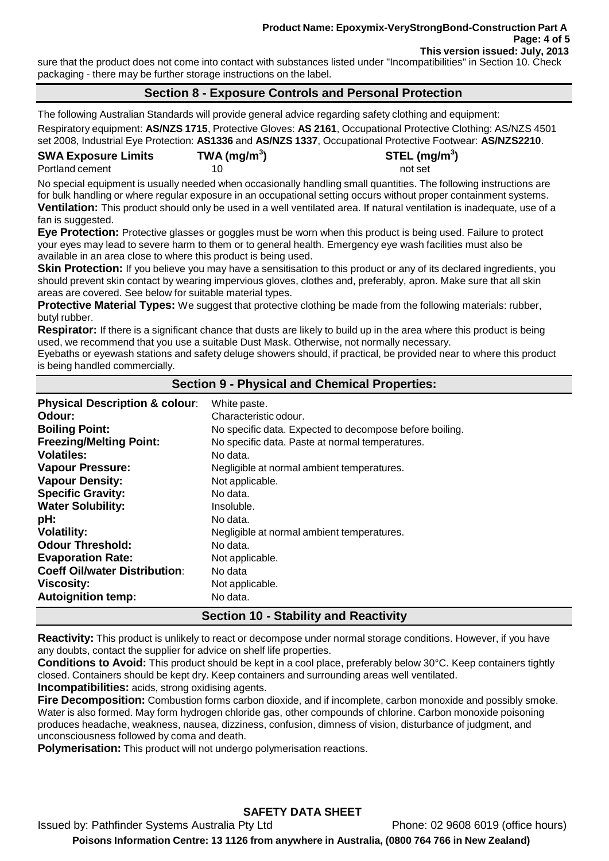sure that the product does not come into contact with substances listed under "Incompatibilities" in Section 10. Check packaging - there may be further storage instructions on the label.

#### **Section 8 - Exposure Controls and Personal Protection**

The following Australian Standards will provide general advice regarding safety clothing and equipment:

Respiratory equipment: **AS/NZS 1715**, Protective Gloves: **AS 2161**, Occupational Protective Clothing: AS/NZS 4501 set 2008, Industrial Eye Protection: **AS1336** and **AS/NZS 1337**, Occupational Protective Footwear: **AS/NZS2210**.

#### **SWA Exposure Limits TWA (mg/m<sup>3</sup>** Portland cement 10 and 10 not set

**) STEL (mg/m<sup>3</sup> )**

No special equipment is usually needed when occasionally handling small quantities. The following instructions are for bulk handling or where regular exposure in an occupational setting occurs without proper containment systems. **Ventilation:** This product should only be used in a well ventilated area. If natural ventilation is inadequate, use of a fan is suggested.

**Eye Protection:** Protective glasses or goggles must be worn when this product is being used. Failure to protect your eyes may lead to severe harm to them or to general health. Emergency eye wash facilities must also be available in an area close to where this product is being used.

**Skin Protection:** If you believe you may have a sensitisation to this product or any of its declared ingredients, you should prevent skin contact by wearing impervious gloves, clothes and, preferably, apron. Make sure that all skin areas are covered. See below for suitable material types.

**Protective Material Types:** We suggest that protective clothing be made from the following materials: rubber, butyl rubber.

**Respirator:** If there is a significant chance that dusts are likely to build up in the area where this product is being used, we recommend that you use a suitable Dust Mask. Otherwise, not normally necessary.

Eyebaths or eyewash stations and safety deluge showers should, if practical, be provided near to where this product is being handled commercially.

#### **Section 9 - Physical and Chemical Properties:**

| <b>Physical Description &amp; colour:</b> | White paste.                                            |
|-------------------------------------------|---------------------------------------------------------|
| Odour:                                    | Characteristic odour.                                   |
| <b>Boiling Point:</b>                     | No specific data. Expected to decompose before boiling. |
| <b>Freezing/Melting Point:</b>            | No specific data. Paste at normal temperatures.         |
| <b>Volatiles:</b>                         | No data.                                                |
| <b>Vapour Pressure:</b>                   | Negligible at normal ambient temperatures.              |
| <b>Vapour Density:</b>                    | Not applicable.                                         |
| <b>Specific Gravity:</b>                  | No data.                                                |
| <b>Water Solubility:</b>                  | Insoluble.                                              |
| pH:                                       | No data.                                                |
| <b>Volatility:</b>                        | Negligible at normal ambient temperatures.              |
| <b>Odour Threshold:</b>                   | No data.                                                |
| <b>Evaporation Rate:</b>                  | Not applicable.                                         |
| <b>Coeff Oil/water Distribution:</b>      | No data                                                 |
| <b>Viscosity:</b>                         | Not applicable.                                         |
| <b>Autoignition temp:</b>                 | No data.                                                |

## **Section 10 - Stability and Reactivity**

**Reactivity:** This product is unlikely to react or decompose under normal storage conditions. However, if you have any doubts, contact the supplier for advice on shelf life properties.

**Conditions to Avoid:** This product should be kept in a cool place, preferably below 30°C. Keep containers tightly closed. Containers should be kept dry. Keep containers and surrounding areas well ventilated.

**Incompatibilities:** acids, strong oxidising agents.

**Fire Decomposition:** Combustion forms carbon dioxide, and if incomplete, carbon monoxide and possibly smoke. Water is also formed. May form hydrogen chloride gas, other compounds of chlorine. Carbon monoxide poisoning produces headache, weakness, nausea, dizziness, confusion, dimness of vision, disturbance of judgment, and unconsciousness followed by coma and death.

**Polymerisation:** This product will not undergo polymerisation reactions.

# **SAFETY DATA SHEET**

Issued by: Pathfinder Systems Australia Pty Ltd Phone: 02 9608 6019 (office hours) **Poisons Information Centre: 13 1126 from anywhere in Australia, (0800 764 766 in New Zealand)**